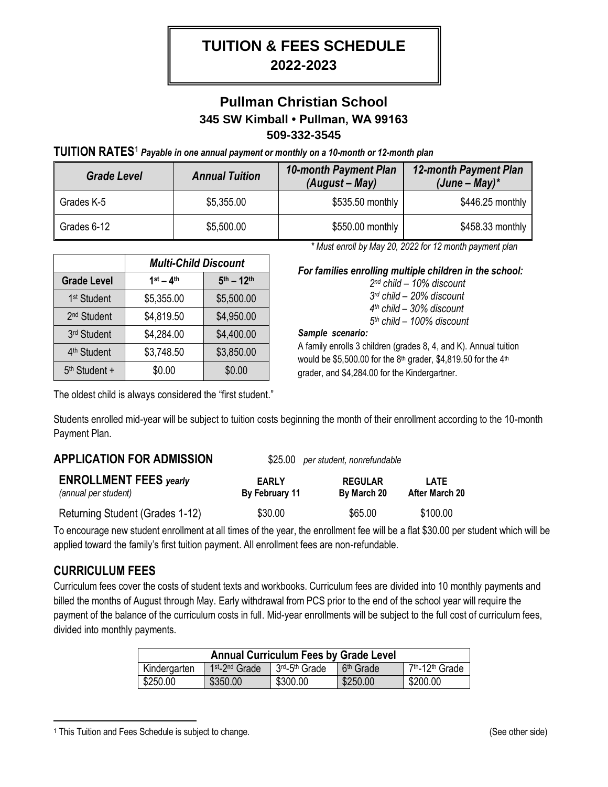# **TUITION & FEES SCHEDULE 2022-2023**

## **Pullman Christian School 345 SW Kimball • Pullman, WA 99163 509-332-3545**

**TUITION RATES**<sup>1</sup> *Payable in one annual payment or monthly on a 10-month or 12-month plan*

| <b>Grade Level</b> | <b>Annual Tuition</b> | 10-month Payment Plan<br>$(August - May)$ | <b>12-month Payment Plan</b><br>$(June-May)^*$ |
|--------------------|-----------------------|-------------------------------------------|------------------------------------------------|
| Grades K-5         | \$5,355.00            | \$535.50 monthly                          | $$446.25$ monthly                              |
| Grades 6-12        | \$5,500.00            | \$550.00 monthly                          | $$458.33$ monthly                              |

|                           | <b>Multi-Child Discount</b> |                    |
|---------------------------|-----------------------------|--------------------|
| <b>Grade Level</b>        | $1st - 4th$                 | $5^{th} - 12^{th}$ |
| 1 <sup>st</sup> Student   | \$5,355.00                  | \$5,500.00         |
| 2 <sup>nd</sup> Student   | \$4,819.50                  | \$4,950.00         |
| 3rd Student               | \$4,284.00                  | \$4,400.00         |
| 4 <sup>th</sup> Student   | \$3,748.50                  | \$3,850.00         |
| 5 <sup>th</sup> Student + | \$0.00                      | \$0.00             |

 *\* Must enroll by May 20, 2022 for 12 month payment plan*

*For families enrolling multiple children in the school:*

 *nd child – 10% discount rd child – 20% discount th child – 30% discount th child – 100% discount*

#### *Sample scenario:*

A family enrolls 3 children (grades 8, 4, and K). Annual tuition would be \$5,500.00 for the 8<sup>th</sup> grader, \$4,819.50 for the 4<sup>th</sup> grader, and \$4,284.00 for the Kindergartner.

The oldest child is always considered the "first student."

Students enrolled mid-year will be subject to tuition costs beginning the month of their enrollment according to the 10-month Payment Plan.

#### **APPLICATION FOR ADMISSION** \$25.00 *per student, nonrefundable*

| <b>ENROLLMENT FEES yearly</b>   | <b>EARLY</b>   | <b>REGULAR</b> | I ATF          |
|---------------------------------|----------------|----------------|----------------|
| (annual per student)            | By February 11 | By March 20    | After March 20 |
| Returning Student (Grades 1-12) | \$30.00        | \$65.00        | \$100.00       |

To encourage new student enrollment at all times of the year, the enrollment fee will be a flat \$30.00 per student which will be applied toward the family's first tuition payment. All enrollment fees are non-refundable.

#### **CURRICULUM FEES**

 $\overline{a}$ 

Curriculum fees cover the costs of student texts and workbooks. Curriculum fees are divided into 10 monthly payments and billed the months of August through May. Early withdrawal from PCS prior to the end of the school year will require the payment of the balance of the curriculum costs in full. Mid-year enrollments will be subject to the full cost of curriculum fees, divided into monthly payments.

| <b>Annual Curriculum Fees by Grade Level</b> |                                        |                                        |                       |                                         |
|----------------------------------------------|----------------------------------------|----------------------------------------|-----------------------|-----------------------------------------|
| Kindergarten                                 | 1 <sup>st</sup> -2 <sup>nd</sup> Grade | 3 <sup>rd</sup> -5 <sup>th</sup> Grade | 6 <sup>th</sup> Grade | 7 <sup>th</sup> -12 <sup>th</sup> Grade |
| \$250.00                                     | \$350.00                               | \$300.00                               | \$250.00              | \$200.00                                |

<sup>1</sup> This Tuition and Fees Schedule is subject to change. (See other side)